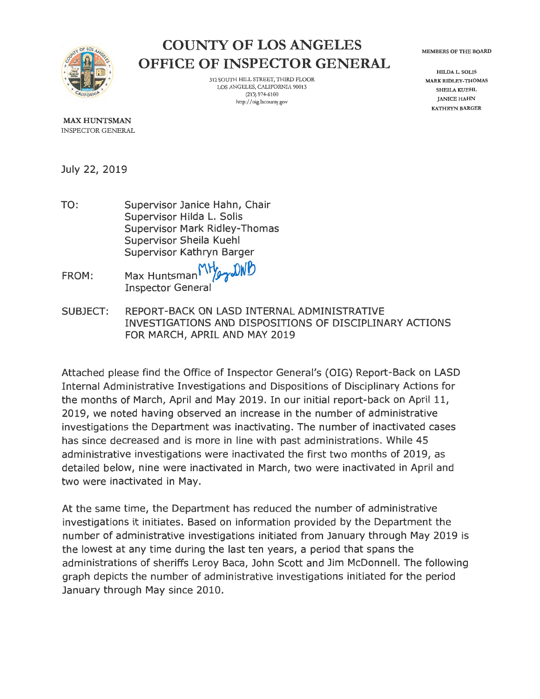

# **COUNTY OF LOS ANGELES OFFICE OF INSPECTOR GENERAL**

312 SOUTH HILL STREET, THIRD PLOOR LOS ANGELES, CALIFORNIA 90013 (213) 974-6100 http://oig.lacounty.gov

MEMBERS OF THE BOARD

HILDA L. SOLIS MARK RIDLEY-THOMAS SHEILA KUEHL JANICE HAHN KATHRYN BARGER

**MAX HUNTSMAN**  INSPECTOR GENERAL

July 22, 2019

- TO: Supervisor Janice Hahn, Chair Supervisor Hilda L. Solis Supervisor Mark Ridley-Thomas Supervisor Sheila Kuehl Supervisor Kathryn Barger
- FROM: Max Huntsman MHay DWD Inspector General
- SUBJECT: REPORT-BACK ON LASD INTERNAL ADMINISTRATIVE INVESTIGATIONS AND DISPOSITIONS OF DISCIPLINARY ACTIONS FOR MARCH, APRIL AND MAY 2019

Attached please find the Office of Inspector General's (OIG) Report-Back on LASD Internal Administrative Investigations and Dispositions of Disciplinary Actions for the months of March, April and May 2019. In our initial report-back on April 11, 2019, we noted having observed an increase in the number of administrative investigations the Department was inactivating. The number of inactivated cases has since decreased and is more in line with past administrations. While 45 administrative investigations were inactivated the first two months of 2019, as detailed below, nine were inactivated in March, two were inactivated in April and two were inactivated in May.

At the same time, the Department has reduced the number of administrative investigations it initiates. Based on information provided by the Department the number of administrative investigations initiated from January through May 2019 is the lowest at any time during the last ten years, a period that spans the administrations of sheriffs Leroy Baca, John Scott and Jim McDonnell. The following graph depicts the number of administrative investigations initiated for the period January through May since 2010.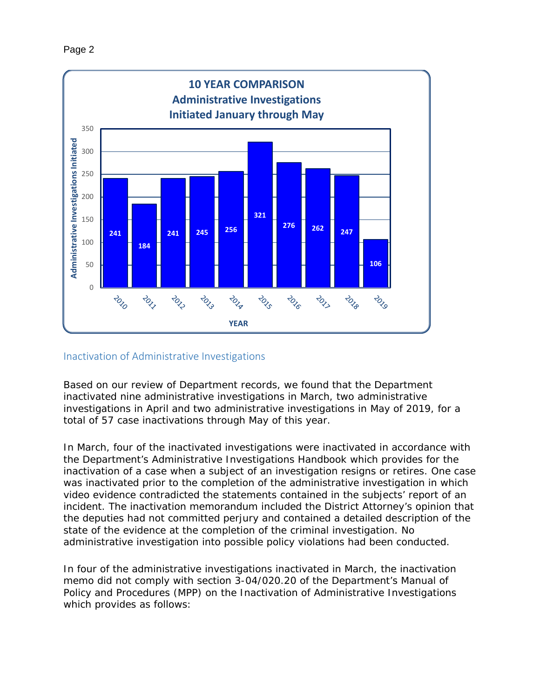

### Inactivation of Administrative Investigations

Based on our review of Department records, we found that the Department inactivated nine administrative investigations in March, two administrative investigations in April and two administrative investigations in May of 2019, for a total of 57 case inactivations through May of this year.

In March, four of the inactivated investigations were inactivated in accordance with the Department's Administrative Investigations Handbook which provides for the inactivation of a case when a subject of an investigation resigns or retires. One case was inactivated prior to the completion of the administrative investigation in which video evidence contradicted the statements contained in the subjects' report of an incident. The inactivation memorandum included the District Attorney's opinion that the deputies had not committed perjury and contained a detailed description of the state of the evidence at the completion of the criminal investigation. No administrative investigation into possible policy violations had been conducted.

In four of the administrative investigations inactivated in March, the inactivation memo did not comply with section 3-04/020.20 of the Department's Manual of Policy and Procedures (MPP) on the Inactivation of Administrative Investigations which provides as follows: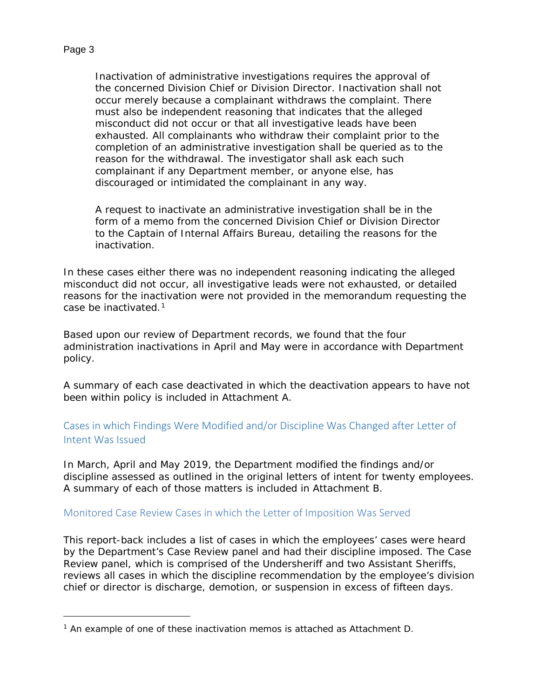### Page 3

1

Inactivation of administrative investigations requires the approval of the concerned Division Chief or Division Director. Inactivation shall not occur merely because a complainant withdraws the complaint. There must also be independent reasoning that indicates that the alleged misconduct did not occur or that all investigative leads have been exhausted. All complainants who withdraw their complaint prior to the completion of an administrative investigation shall be queried as to the reason for the withdrawal. The investigator shall ask each such complainant if any Department member, or anyone else, has discouraged or intimidated the complainant in any way.

A request to inactivate an administrative investigation shall be in the form of a memo from the concerned Division Chief or Division Director to the Captain of Internal Affairs Bureau, detailing the reasons for the inactivation.

In these cases either there was no independent reasoning indicating the alleged misconduct did not occur, all investigative leads were not exhausted, or detailed reasons for the inactivation were not provided in the memorandum requesting the case be inactivated.[1](#page-2-0)

Based upon our review of Department records, we found that the four administration inactivations in April and May were in accordance with Department policy.

A summary of each case deactivated in which the deactivation appears to have not been within policy is included in Attachment A.

## Cases in which Findings Were Modified and/or Discipline Was Changed after Letter of Intent Was Issued

In March, April and May 2019, the Department modified the findings and/or discipline assessed as outlined in the original letters of intent for twenty employees. A summary of each of those matters is included in Attachment B.

### Monitored Case Review Cases in which the Letter of Imposition Was Served

This report-back includes a list of cases in which the employees' cases were heard by the Department's Case Review panel and had their discipline imposed. The Case Review panel, which is comprised of the Undersheriff and two Assistant Sheriffs, reviews all cases in which the discipline recommendation by the employee's division chief or director is discharge, demotion, or suspension in excess of fifteen days.

<span id="page-2-0"></span> $1$  An example of one of these inactivation memos is attached as Attachment D.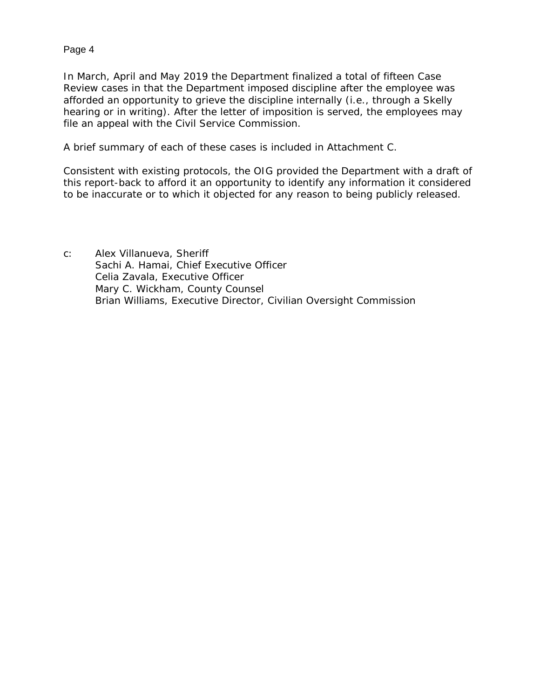### Page 4

In March, April and May 2019 the Department finalized a total of fifteen Case Review cases in that the Department imposed discipline after the employee was afforded an opportunity to grieve the discipline internally (i.e., through a *Skelly*  hearing or in writing). After the letter of imposition is served, the employees may file an appeal with the Civil Service Commission.

A brief summary of each of these cases is included in Attachment C.

Consistent with existing protocols, the OIG provided the Department with a draft of this report-back to afford it an opportunity to identify any information it considered to be inaccurate or to which it objected for any reason to being publicly released.

c: Alex Villanueva, Sheriff Sachi A. Hamai, Chief Executive Officer Celia Zavala, Executive Officer Mary C. Wickham, County Counsel Brian Williams, Executive Director, Civilian Oversight Commission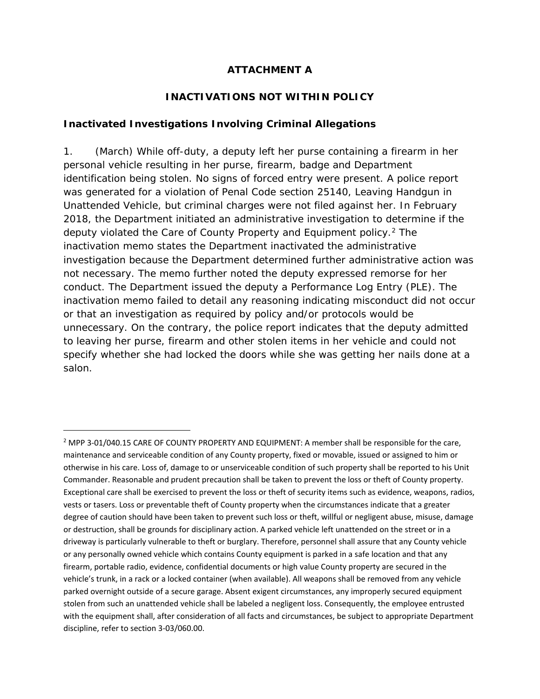### **ATTACHMENT A**

### **INACTIVATIONS NOT WITHIN POLICY**

### *Inactivated Investigations Involving Criminal Allegations*

l

1. (March) While off-duty, a deputy left her purse containing a firearm in her personal vehicle resulting in her purse, firearm, badge and Department identification being stolen. No signs of forced entry were present. A police report was generated for a violation of Penal Code section 25140, Leaving Handgun in Unattended Vehicle, but criminal charges were not filed against her. In February 2018, the Department initiated an administrative investigation to determine if the deputy violated the Care of County Property and Equipment policy.<sup>[2](#page-4-0)</sup> The inactivation memo states the Department inactivated the administrative investigation because the Department determined further administrative action was not necessary. The memo further noted the deputy expressed remorse for her conduct. The Department issued the deputy a Performance Log Entry (PLE). The inactivation memo failed to detail any reasoning indicating misconduct did not occur or that an investigation as required by policy and/or protocols would be unnecessary. On the contrary, the police report indicates that the deputy admitted to leaving her purse, firearm and other stolen items in her vehicle and could not specify whether she had locked the doors while she was getting her nails done at a salon.

<span id="page-4-0"></span><sup>&</sup>lt;sup>2</sup> MPP 3-01/040.15 CARE OF COUNTY PROPERTY AND EQUIPMENT: A member shall be responsible for the care, maintenance and serviceable condition of any County property, fixed or movable, issued or assigned to him or otherwise in his care. Loss of, damage to or unserviceable condition of such property shall be reported to his Unit Commander. Reasonable and prudent precaution shall be taken to prevent the loss or theft of County property. Exceptional care shall be exercised to prevent the loss or theft of security items such as evidence, weapons, radios, vests or tasers. Loss or preventable theft of County property when the circumstances indicate that a greater degree of caution should have been taken to prevent such loss or theft, willful or negligent abuse, misuse, damage or destruction, shall be grounds for disciplinary action. A parked vehicle left unattended on the street or in a driveway is particularly vulnerable to theft or burglary. Therefore, personnel shall assure that any County vehicle or any personally owned vehicle which contains County equipment is parked in a safe location and that any firearm, portable radio, evidence, confidential documents or high value County property are secured in the vehicle's trunk, in a rack or a locked container (when available). All weapons shall be removed from any vehicle parked overnight outside of a secure garage. Absent exigent circumstances, any improperly secured equipment stolen from such an unattended vehicle shall be labeled a negligent loss. Consequently, the employee entrusted with the equipment shall, after consideration of all facts and circumstances, be subject to appropriate Department discipline, refer to section 3-03/060.00.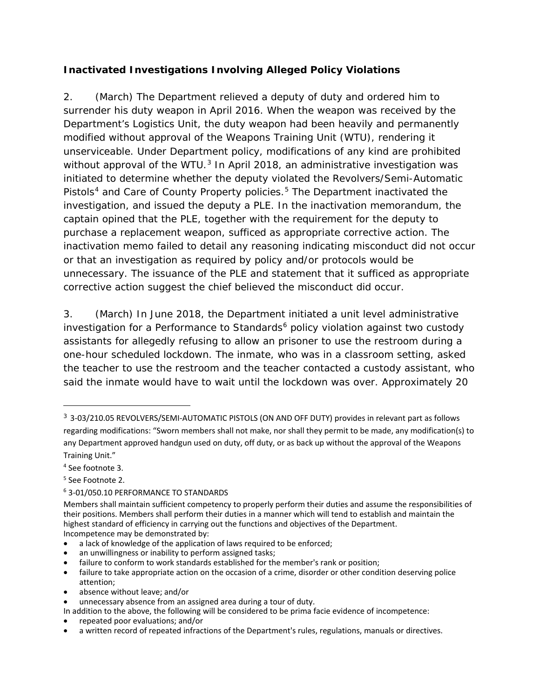# *Inactivated Investigations Involving Alleged Policy Violations*

2. (March) The Department relieved a deputy of duty and ordered him to surrender his duty weapon in April 2016. When the weapon was received by the Department's Logistics Unit, the duty weapon had been heavily and permanently modified without approval of the Weapons Training Unit (WTU), rendering it unserviceable. Under Department policy, modifications of any kind are prohibited without approval of the WTU. $3$  In April 2018, an administrative investigation was initiated to determine whether the deputy violated the Revolvers/Semi-Automatic Pistols<sup>[4](#page-5-1)</sup> and Care of County Property policies.<sup>[5](#page-5-2)</sup> The Department inactivated the investigation, and issued the deputy a PLE. In the inactivation memorandum, the captain opined that the PLE, together with the requirement for the deputy to purchase a replacement weapon, sufficed as appropriate corrective action. The inactivation memo failed to detail any reasoning indicating misconduct did not occur or that an investigation as required by policy and/or protocols would be unnecessary. The issuance of the PLE and statement that it sufficed as appropriate corrective action suggest the chief believed the misconduct did occur.

3. (March) In June 2018, the Department initiated a unit level administrative investigation for a Performance to Standards $6$  policy violation against two custody assistants for allegedly refusing to allow an prisoner to use the restroom during a one-hour scheduled lockdown. The inmate, who was in a classroom setting, asked the teacher to use the restroom and the teacher contacted a custody assistant, who said the inmate would have to wait until the lockdown was over. Approximately 20

-

• absence without leave; and/or

• repeated poor evaluations; and/or

<span id="page-5-0"></span><sup>3</sup> 3-03/210.05 REVOLVERS/SEMI-AUTOMATIC PISTOLS (ON AND OFF DUTY) provides in relevant part as follows regarding modifications: "Sworn members shall not make, nor shall they permit to be made, any modification(s) to any Department approved handgun used on duty, off duty, or as back up without the approval of the Weapons Training Unit."

<span id="page-5-1"></span><sup>4</sup> See footnote 3.

<span id="page-5-2"></span><sup>5</sup> See Footnote 2.

<span id="page-5-3"></span><sup>6</sup> 3-01/050.10 PERFORMANCE TO STANDARDS

Members shall maintain sufficient competency to properly perform their duties and assume the responsibilities of their positions. Members shall perform their duties in a manner which will tend to establish and maintain the highest standard of efficiency in carrying out the functions and objectives of the Department. Incompetence may be demonstrated by:

<sup>•</sup> a lack of knowledge of the application of laws required to be enforced;

an unwillingness or inability to perform assigned tasks;

<sup>•</sup> failure to conform to work standards established for the member's rank or position;

<sup>•</sup> failure to take appropriate action on the occasion of a crime, disorder or other condition deserving police attention;

unnecessary absence from an assigned area during a tour of duty.

In addition to the above, the following will be considered to be prima facie evidence of incompetence:

<sup>•</sup> a written record of repeated infractions of the Department's rules, regulations, manuals or directives.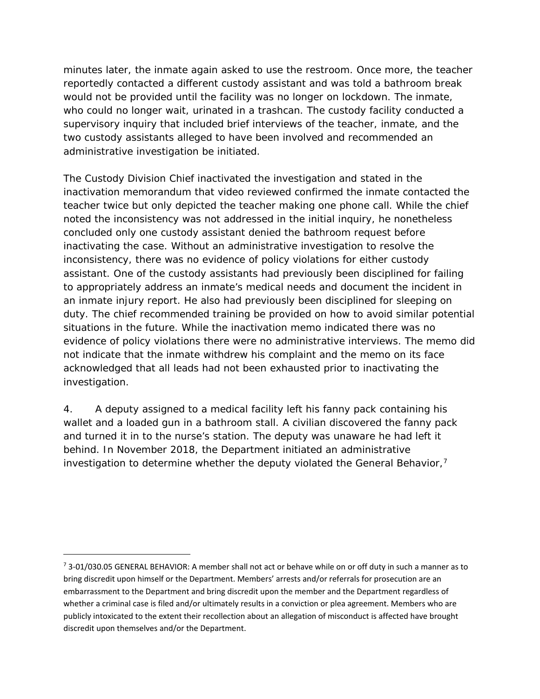minutes later, the inmate again asked to use the restroom. Once more, the teacher reportedly contacted a different custody assistant and was told a bathroom break would not be provided until the facility was no longer on lockdown. The inmate, who could no longer wait, urinated in a trashcan. The custody facility conducted a supervisory inquiry that included brief interviews of the teacher, inmate, and the two custody assistants alleged to have been involved and recommended an administrative investigation be initiated.

The Custody Division Chief inactivated the investigation and stated in the inactivation memorandum that video reviewed confirmed the inmate contacted the teacher twice but only depicted the teacher making one phone call. While the chief noted the inconsistency was not addressed in the initial inquiry, he nonetheless concluded only one custody assistant denied the bathroom request before inactivating the case. Without an administrative investigation to resolve the inconsistency, there was no evidence of policy violations for either custody assistant. One of the custody assistants had previously been disciplined for failing to appropriately address an inmate's medical needs and document the incident in an inmate injury report. He also had previously been disciplined for sleeping on duty. The chief recommended training be provided on how to avoid similar potential situations in the future. While the inactivation memo indicated there was no evidence of policy violations there were no administrative interviews. The memo did not indicate that the inmate withdrew his complaint and the memo on its face acknowledged that all leads had not been exhausted prior to inactivating the investigation.

4. A deputy assigned to a medical facility left his fanny pack containing his wallet and a loaded gun in a bathroom stall. A civilian discovered the fanny pack and turned it in to the nurse's station. The deputy was unaware he had left it behind. In November 2018, the Department initiated an administrative investigation to determine whether the deputy violated the General Behavior,<sup>[7](#page-6-0)</sup>

1

<span id="page-6-0"></span> $7$  3-01/030.05 GENERAL BEHAVIOR: A member shall not act or behave while on or off duty in such a manner as to bring discredit upon himself or the Department. Members' arrests and/or referrals for prosecution are an embarrassment to the Department and bring discredit upon the member and the Department regardless of whether a criminal case is filed and/or ultimately results in a conviction or plea agreement. Members who are publicly intoxicated to the extent their recollection about an allegation of misconduct is affected have brought discredit upon themselves and/or the Department.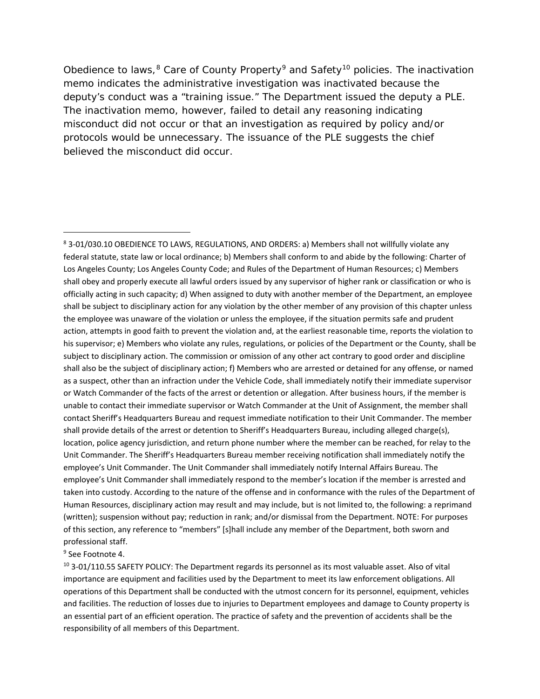Obedience to laws,<sup>[8](#page-7-0)</sup> Care of County Property<sup>[9](#page-7-1)</sup> and Safety<sup>[10](#page-7-2)</sup> policies. The inactivation memo indicates the administrative investigation was inactivated because the deputy's conduct was a "training issue." The Department issued the deputy a PLE. The inactivation memo, however, failed to detail any reasoning indicating misconduct did not occur or that an investigation as required by policy and/or protocols would be unnecessary. The issuance of the PLE suggests the chief believed the misconduct did occur.

#### <span id="page-7-1"></span><sup>9</sup> See Footnote 4.

l

<span id="page-7-2"></span> $10$  3-01/110.55 SAFETY POLICY: The Department regards its personnel as its most valuable asset. Also of vital importance are equipment and facilities used by the Department to meet its law enforcement obligations. All operations of this Department shall be conducted with the utmost concern for its personnel, equipment, vehicles and facilities. The reduction of losses due to injuries to Department employees and damage to County property is an essential part of an efficient operation. The practice of safety and the prevention of accidents shall be the responsibility of all members of this Department.

<span id="page-7-0"></span><sup>8</sup> 3-01/030.10 OBEDIENCE TO LAWS, REGULATIONS, AND ORDERS: a) Members shall not willfully violate any federal statute, state law or local ordinance; b) Members shall conform to and abide by the following: Charter of Los Angeles County; Los Angeles County Code; and Rules of the Department of Human Resources; c) Members shall obey and properly execute all lawful orders issued by any supervisor of higher rank or classification or who is officially acting in such capacity; d) When assigned to duty with another member of the Department, an employee shall be subject to disciplinary action for any violation by the other member of any provision of this chapter unless the employee was unaware of the violation or unless the employee, if the situation permits safe and prudent action, attempts in good faith to prevent the violation and, at the earliest reasonable time, reports the violation to his supervisor; e) Members who violate any rules, regulations, or policies of the Department or the County, shall be subject to disciplinary action. The commission or omission of any other act contrary to good order and discipline shall also be the subject of disciplinary action; f) Members who are arrested or detained for any offense, or named as a suspect, other than an infraction under the Vehicle Code, shall immediately notify their immediate supervisor or Watch Commander of the facts of the arrest or detention or allegation. After business hours, if the member is unable to contact their immediate supervisor or Watch Commander at the Unit of Assignment, the member shall contact Sheriff's Headquarters Bureau and request immediate notification to their Unit Commander. The member shall provide details of the arrest or detention to Sheriff's Headquarters Bureau, including alleged charge(s), location, police agency jurisdiction, and return phone number where the member can be reached, for relay to the Unit Commander. The Sheriff's Headquarters Bureau member receiving notification shall immediately notify the employee's Unit Commander. The Unit Commander shall immediately notify Internal Affairs Bureau. The employee's Unit Commander shall immediately respond to the member's location if the member is arrested and taken into custody. According to the nature of the offense and in conformance with the rules of the Department of Human Resources, disciplinary action may result and may include, but is not limited to, the following: a reprimand (written); suspension without pay; reduction in rank; and/or dismissal from the Department. NOTE: For purposes of this section, any reference to "members" [s]hall include any member of the Department, both sworn and professional staff.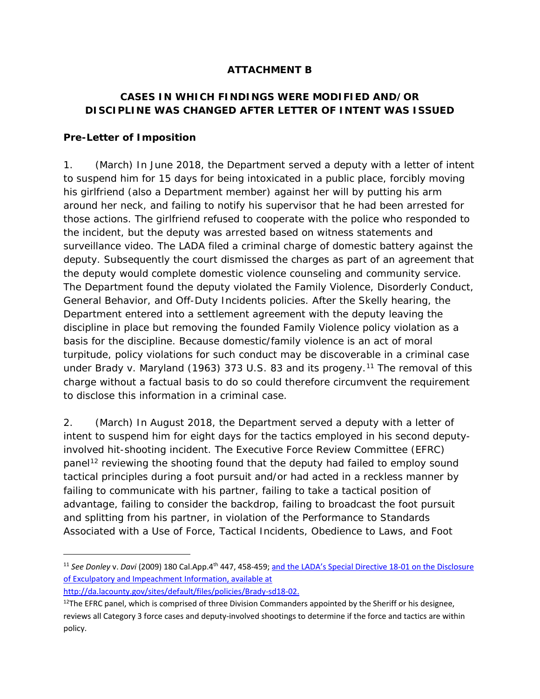# **ATTACHMENT B**

# **CASES IN WHICH FINDINGS WERE MODIFIED AND/OR DISCIPLINE WAS CHANGED AFTER LETTER OF INTENT WAS ISSUED**

### **Pre-Letter of Imposition**

1. (March) In June 2018, the Department served a deputy with a letter of intent to suspend him for 15 days for being intoxicated in a public place, forcibly moving his girlfriend (also a Department member) against her will by putting his arm around her neck, and failing to notify his supervisor that he had been arrested for those actions. The girlfriend refused to cooperate with the police who responded to the incident, but the deputy was arrested based on witness statements and surveillance video. The LADA filed a criminal charge of domestic battery against the deputy. Subsequently the court dismissed the charges as part of an agreement that the deputy would complete domestic violence counseling and community service. The Department found the deputy violated the Family Violence, Disorderly Conduct, General Behavior, and Off-Duty Incidents policies. After the *Skelly* hearing, the Department entered into a settlement agreement with the deputy leaving the discipline in place but removing the founded Family Violence policy violation as a basis for the discipline. Because domestic/family violence is an act of moral turpitude, policy violations for such conduct may be discoverable in a criminal case under *Brady* v. Maryland (1963) 373 U.S. 83 and its progeny.<sup>[11](#page-8-0)</sup> The removal of this charge without a factual basis to do so could therefore circumvent the requirement to disclose this information in a criminal case.

2. (March) In August 2018, the Department served a deputy with a letter of intent to suspend him for eight days for the tactics employed in his second deputyinvolved hit-shooting incident. The Executive Force Review Committee (EFRC) panel<sup>[12](#page-8-1)</sup> reviewing the shooting found that the deputy had failed to employ sound tactical principles during a foot pursuit and/or had acted in a reckless manner by failing to communicate with his partner, failing to take a tactical position of advantage, failing to consider the backdrop, failing to broadcast the foot pursuit and splitting from his partner, in violation of the Performance to Standards Associated with a Use of Force, Tactical Incidents, Obedience to Laws, and Foot

http://da.lacounty.gov/sites/default/files/policies/Brady-sd18-02.

1

<span id="page-8-0"></span><sup>11</sup> *See Donley* v. *Davi* (2009) 180 Cal.App.4th 447, 458-459; and the LADA's Special Directive 18-01 on the Disclosure of Exculpatory and Impeachment Information, available at

<span id="page-8-1"></span> $12$ The EFRC panel, which is comprised of three Division Commanders appointed by the Sheriff or his designee, reviews all Category 3 force cases and deputy-involved shootings to determine if the force and tactics are within policy.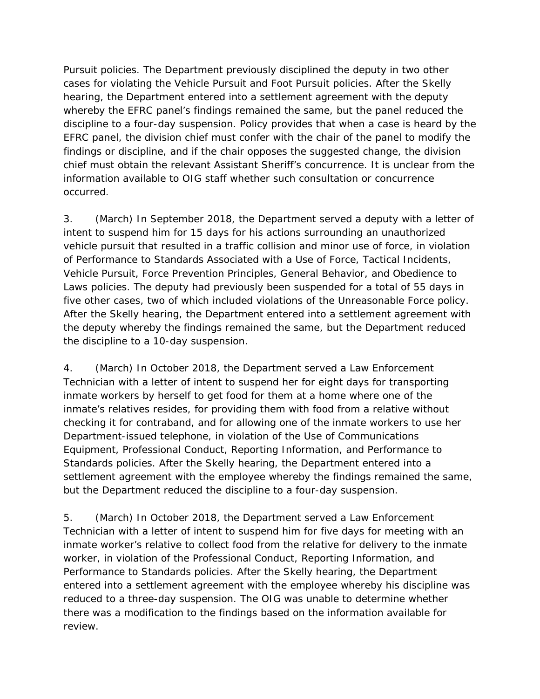Pursuit policies. The Department previously disciplined the deputy in two other cases for violating the Vehicle Pursuit and Foot Pursuit policies. After the *Skelly* hearing, the Department entered into a settlement agreement with the deputy whereby the EFRC panel's findings remained the same, but the panel reduced the discipline to a four-day suspension. Policy provides that when a case is heard by the EFRC panel, the division chief must confer with the chair of the panel to modify the findings or discipline, and if the chair opposes the suggested change, the division chief must obtain the relevant Assistant Sheriff's concurrence. It is unclear from the information available to OIG staff whether such consultation or concurrence occurred.

3. (March) In September 2018, the Department served a deputy with a letter of intent to suspend him for 15 days for his actions surrounding an unauthorized vehicle pursuit that resulted in a traffic collision and minor use of force, in violation of Performance to Standards Associated with a Use of Force, Tactical Incidents, Vehicle Pursuit, Force Prevention Principles, General Behavior, and Obedience to Laws policies. The deputy had previously been suspended for a total of 55 days in five other cases, two of which included violations of the Unreasonable Force policy. After the *Skelly* hearing, the Department entered into a settlement agreement with the deputy whereby the findings remained the same, but the Department reduced the discipline to a 10-day suspension.

4. (March) In October 2018, the Department served a Law Enforcement Technician with a letter of intent to suspend her for eight days for transporting inmate workers by herself to get food for them at a home where one of the inmate's relatives resides, for providing them with food from a relative without checking it for contraband, and for allowing one of the inmate workers to use her Department-issued telephone, in violation of the Use of Communications Equipment, Professional Conduct, Reporting Information, and Performance to Standards policies. After the *Skelly* hearing, the Department entered into a settlement agreement with the employee whereby the findings remained the same, but the Department reduced the discipline to a four-day suspension.

5. (March) In October 2018, the Department served a Law Enforcement Technician with a letter of intent to suspend him for five days for meeting with an inmate worker's relative to collect food from the relative for delivery to the inmate worker, in violation of the Professional Conduct, Reporting Information, and Performance to Standards policies. After the *Skelly* hearing, the Department entered into a settlement agreement with the employee whereby his discipline was reduced to a three-day suspension. The OIG was unable to determine whether there was a modification to the findings based on the information available for review.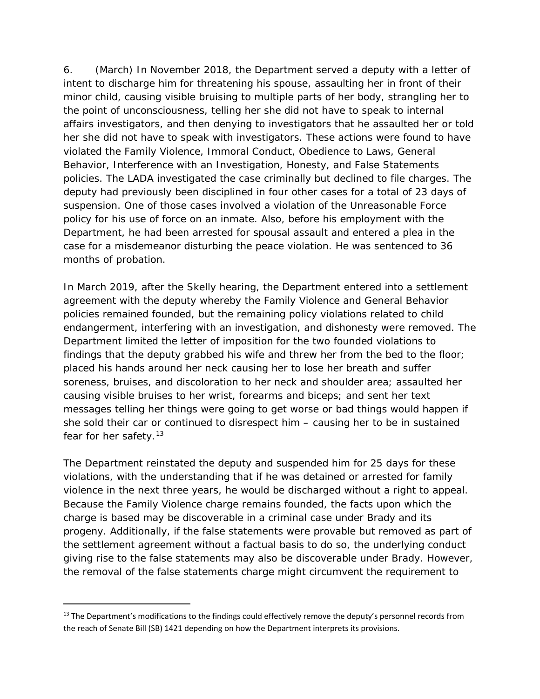6. (March) In November 2018, the Department served a deputy with a letter of intent to discharge him for threatening his spouse, assaulting her in front of their minor child, causing visible bruising to multiple parts of her body, strangling her to the point of unconsciousness, telling her she did not have to speak to internal affairs investigators, and then denying to investigators that he assaulted her or told her she did not have to speak with investigators. These actions were found to have violated the Family Violence, Immoral Conduct, Obedience to Laws, General Behavior, Interference with an Investigation, Honesty, and False Statements policies. The LADA investigated the case criminally but declined to file charges. The deputy had previously been disciplined in four other cases for a total of 23 days of suspension. One of those cases involved a violation of the Unreasonable Force policy for his use of force on an inmate. Also, before his employment with the Department, he had been arrested for spousal assault and entered a plea in the case for a misdemeanor disturbing the peace violation. He was sentenced to 36 months of probation.

In March 2019, after the *Skelly* hearing, the Department entered into a settlement agreement with the deputy whereby the Family Violence and General Behavior policies remained founded, but the remaining policy violations related to child endangerment, interfering with an investigation, and dishonesty were removed. The Department limited the letter of imposition for the two founded violations to findings that the deputy grabbed his wife and threw her from the bed to the floor; placed his hands around her neck causing her to lose her breath and suffer soreness, bruises, and discoloration to her neck and shoulder area; assaulted her causing visible bruises to her wrist, forearms and biceps; and sent her text messages telling her things were going to get worse or bad things would happen if she sold their car or continued to disrespect him – causing her to be in sustained fear for her safety.<sup>[13](#page-10-0)</sup>

The Department reinstated the deputy and suspended him for 25 days for these violations, with the understanding that if he was detained or arrested for family violence in the next three years, he would be discharged without a right to appeal. Because the Family Violence charge remains founded, the facts upon which the charge is based may be discoverable in a criminal case under *Brady* and its progeny. Additionally, if the false statements were provable but removed as part of the settlement agreement without a factual basis to do so, the underlying conduct giving rise to the false statements may also be discoverable under *Brady*. However, the removal of the false statements charge might circumvent the requirement to

1

<span id="page-10-0"></span><sup>&</sup>lt;sup>13</sup> The Department's modifications to the findings could effectively remove the deputy's personnel records from the reach of Senate Bill (SB) 1421 depending on how the Department interprets its provisions.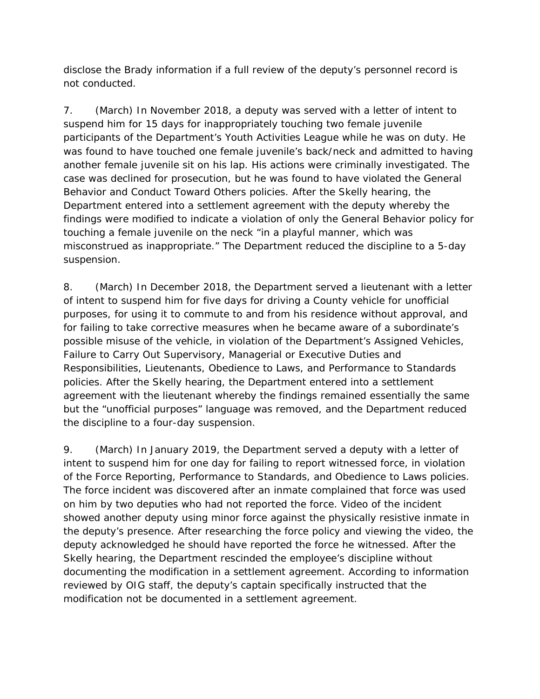disclose the *Brady* information if a full review of the deputy's personnel record is not conducted.

7. (March) In November 2018, a deputy was served with a letter of intent to suspend him for 15 days for inappropriately touching two female juvenile participants of the Department's Youth Activities League while he was on duty. He was found to have touched one female juvenile's back/neck and admitted to having another female juvenile sit on his lap. His actions were criminally investigated. The case was declined for prosecution, but he was found to have violated the General Behavior and Conduct Toward Others policies. After the *Skelly* hearing, the Department entered into a settlement agreement with the deputy whereby the findings were modified to indicate a violation of only the General Behavior policy for touching a female juvenile on the neck "in a playful manner, which was misconstrued as inappropriate." The Department reduced the discipline to a 5-day suspension.

8. (March) In December 2018, the Department served a lieutenant with a letter of intent to suspend him for five days for driving a County vehicle for unofficial purposes, for using it to commute to and from his residence without approval, and for failing to take corrective measures when he became aware of a subordinate's possible misuse of the vehicle, in violation of the Department's Assigned Vehicles, Failure to Carry Out Supervisory, Managerial or Executive Duties and Responsibilities, Lieutenants, Obedience to Laws, and Performance to Standards policies. After the *Skelly* hearing, the Department entered into a settlement agreement with the lieutenant whereby the findings remained essentially the same but the "unofficial purposes" language was removed, and the Department reduced the discipline to a four-day suspension.

9. (March) In January 2019, the Department served a deputy with a letter of intent to suspend him for one day for failing to report witnessed force, in violation of the Force Reporting, Performance to Standards, and Obedience to Laws policies. The force incident was discovered after an inmate complained that force was used on him by two deputies who had not reported the force. Video of the incident showed another deputy using minor force against the physically resistive inmate in the deputy's presence. After researching the force policy and viewing the video, the deputy acknowledged he should have reported the force he witnessed. After the *Skelly* hearing, the Department rescinded the employee's discipline without documenting the modification in a settlement agreement. According to information reviewed by OIG staff, the deputy's captain specifically instructed that the modification not be documented in a settlement agreement.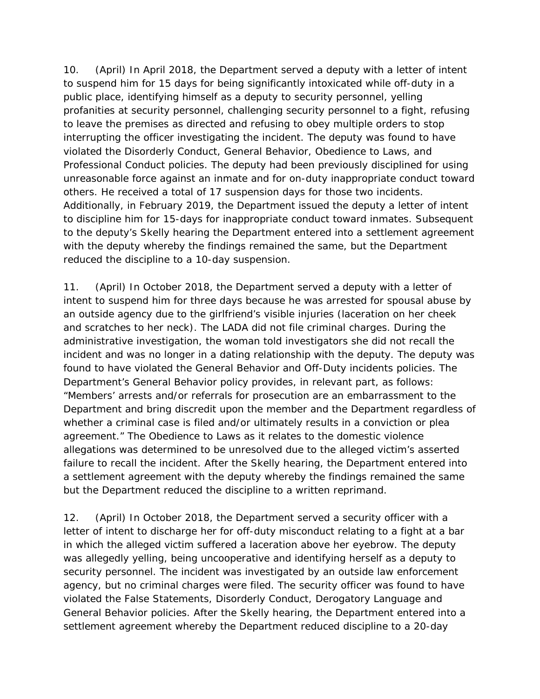10. (April) In April 2018, the Department served a deputy with a letter of intent to suspend him for 15 days for being significantly intoxicated while off-duty in a public place, identifying himself as a deputy to security personnel, yelling profanities at security personnel, challenging security personnel to a fight, refusing to leave the premises as directed and refusing to obey multiple orders to stop interrupting the officer investigating the incident. The deputy was found to have violated the Disorderly Conduct, General Behavior, Obedience to Laws, and Professional Conduct policies. The deputy had been previously disciplined for using unreasonable force against an inmate and for on-duty inappropriate conduct toward others. He received a total of 17 suspension days for those two incidents. Additionally, in February 2019, the Department issued the deputy a letter of intent to discipline him for 15-days for inappropriate conduct toward inmates. Subsequent to the deputy's *Skelly* hearing the Department entered into a settlement agreement with the deputy whereby the findings remained the same, but the Department reduced the discipline to a 10-day suspension.

11. (April) In October 2018, the Department served a deputy with a letter of intent to suspend him for three days because he was arrested for spousal abuse by an outside agency due to the girlfriend's visible injuries (laceration on her cheek and scratches to her neck). The LADA did not file criminal charges. During the administrative investigation, the woman told investigators she did not recall the incident and was no longer in a dating relationship with the deputy. The deputy was found to have violated the General Behavior and Off-Duty incidents policies. The Department's General Behavior policy provides, in relevant part, as follows: "Members' arrests and/or referrals for prosecution are an embarrassment to the Department and bring discredit upon the member and the Department regardless of whether a criminal case is filed and/or ultimately results in a conviction or plea agreement." The Obedience to Laws as it relates to the domestic violence allegations was determined to be unresolved due to the alleged victim's asserted failure to recall the incident. After the *Skelly* hearing, the Department entered into a settlement agreement with the deputy whereby the findings remained the same but the Department reduced the discipline to a written reprimand.

12. (April) In October 2018, the Department served a security officer with a letter of intent to discharge her for off-duty misconduct relating to a fight at a bar in which the alleged victim suffered a laceration above her eyebrow. The deputy was allegedly yelling, being uncooperative and identifying herself as a deputy to security personnel. The incident was investigated by an outside law enforcement agency, but no criminal charges were filed. The security officer was found to have violated the False Statements, Disorderly Conduct, Derogatory Language and General Behavior policies. After the *Skelly* hearing, the Department entered into a settlement agreement whereby the Department reduced discipline to a 20-day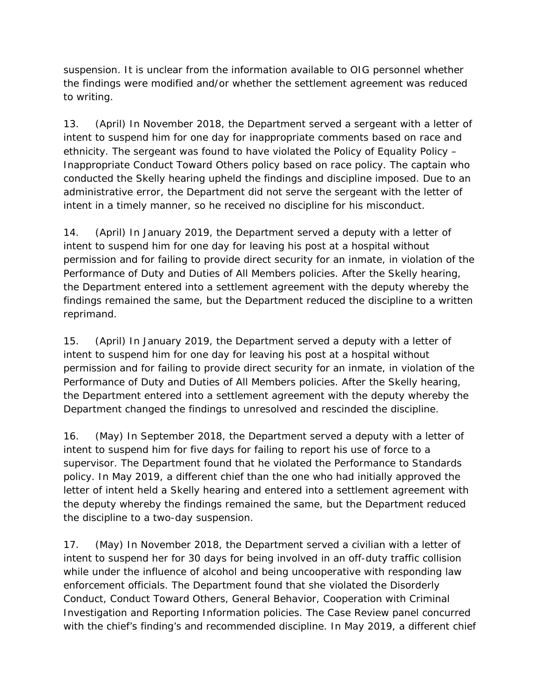suspension. It is unclear from the information available to OIG personnel whether the findings were modified and/or whether the settlement agreement was reduced to writing.

13. (April) In November 2018, the Department served a sergeant with a letter of intent to suspend him for one day for inappropriate comments based on race and ethnicity. The sergeant was found to have violated the Policy of Equality Policy – Inappropriate Conduct Toward Others policy based on race policy. The captain who conducted the *Skelly* hearing upheld the findings and discipline imposed. Due to an administrative error, the Department did not serve the sergeant with the letter of intent in a timely manner, so he received no discipline for his misconduct.

14. (April) In January 2019, the Department served a deputy with a letter of intent to suspend him for one day for leaving his post at a hospital without permission and for failing to provide direct security for an inmate, in violation of the Performance of Duty and Duties of All Members policies. After the *Skelly* hearing, the Department entered into a settlement agreement with the deputy whereby the findings remained the same, but the Department reduced the discipline to a written reprimand.

15. (April) In January 2019, the Department served a deputy with a letter of intent to suspend him for one day for leaving his post at a hospital without permission and for failing to provide direct security for an inmate, in violation of the Performance of Duty and Duties of All Members policies. After the *Skelly* hearing, the Department entered into a settlement agreement with the deputy whereby the Department changed the findings to unresolved and rescinded the discipline.

16. (May) In September 2018, the Department served a deputy with a letter of intent to suspend him for five days for failing to report his use of force to a supervisor. The Department found that he violated the Performance to Standards policy. In May 2019, a different chief than the one who had initially approved the letter of intent held a *Skelly* hearing and entered into a settlement agreement with the deputy whereby the findings remained the same, but the Department reduced the discipline to a two-day suspension.

17. (May) In November 2018, the Department served a civilian with a letter of intent to suspend her for 30 days for being involved in an off-duty traffic collision while under the influence of alcohol and being uncooperative with responding law enforcement officials. The Department found that she violated the Disorderly Conduct, Conduct Toward Others, General Behavior, Cooperation with Criminal Investigation and Reporting Information policies. The Case Review panel concurred with the chief's finding's and recommended discipline. In May 2019, a different chief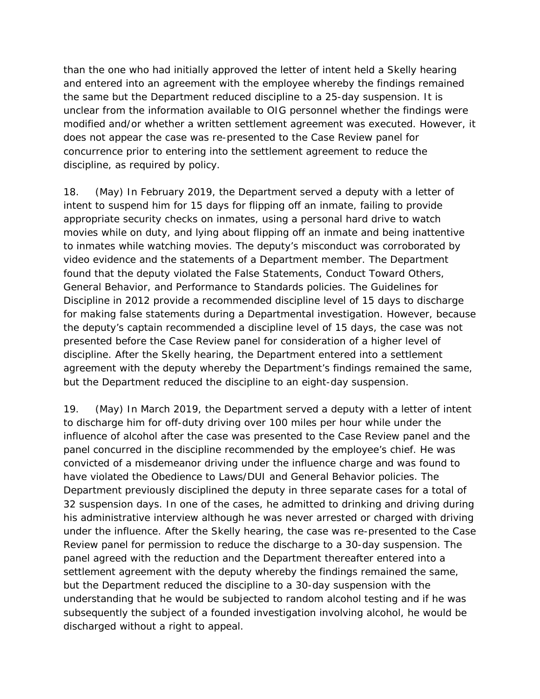than the one who had initially approved the letter of intent held a *Skelly* hearing and entered into an agreement with the employee whereby the findings remained the same but the Department reduced discipline to a 25-day suspension. It is unclear from the information available to OIG personnel whether the findings were modified and/or whether a written settlement agreement was executed. However, it does not appear the case was re-presented to the Case Review panel for concurrence prior to entering into the settlement agreement to reduce the discipline, as required by policy.

18. (May) In February 2019, the Department served a deputy with a letter of intent to suspend him for 15 days for flipping off an inmate, failing to provide appropriate security checks on inmates, using a personal hard drive to watch movies while on duty, and lying about flipping off an inmate and being inattentive to inmates while watching movies. The deputy's misconduct was corroborated by video evidence and the statements of a Department member. The Department found that the deputy violated the False Statements, Conduct Toward Others, General Behavior, and Performance to Standards policies. The Guidelines for Discipline in 2012 provide a recommended discipline level of 15 days to discharge for making false statements during a Departmental investigation. However, because the deputy's captain recommended a discipline level of 15 days, the case was not presented before the Case Review panel for consideration of a higher level of discipline. After the *Skelly* hearing, the Department entered into a settlement agreement with the deputy whereby the Department's findings remained the same, but the Department reduced the discipline to an eight-day suspension.

19. (May) In March 2019, the Department served a deputy with a letter of intent to discharge him for off-duty driving over 100 miles per hour while under the influence of alcohol after the case was presented to the Case Review panel and the panel concurred in the discipline recommended by the employee's chief. He was convicted of a misdemeanor driving under the influence charge and was found to have violated the Obedience to Laws/DUI and General Behavior policies. The Department previously disciplined the deputy in three separate cases for a total of 32 suspension days. In one of the cases, he admitted to drinking and driving during his administrative interview although he was never arrested or charged with driving under the influence. After the *Skelly* hearing, the case was re-presented to the Case Review panel for permission to reduce the discharge to a 30-day suspension. The panel agreed with the reduction and the Department thereafter entered into a settlement agreement with the deputy whereby the findings remained the same, but the Department reduced the discipline to a 30-day suspension with the understanding that he would be subjected to random alcohol testing and if he was subsequently the subject of a founded investigation involving alcohol, he would be discharged without a right to appeal.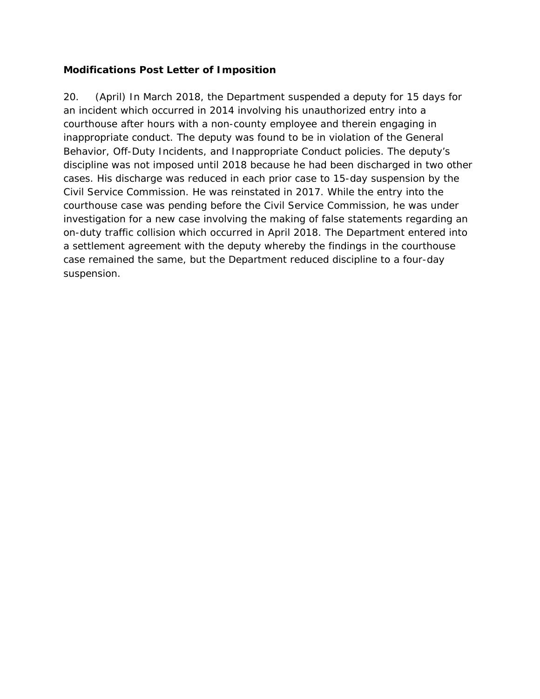### **Modifications Post Letter of Imposition**

20. (April) In March 2018, the Department suspended a deputy for 15 days for an incident which occurred in 2014 involving his unauthorized entry into a courthouse after hours with a non-county employee and therein engaging in inappropriate conduct. The deputy was found to be in violation of the General Behavior, Off-Duty Incidents, and Inappropriate Conduct policies. The deputy's discipline was not imposed until 2018 because he had been discharged in two other cases. His discharge was reduced in each prior case to 15-day suspension by the Civil Service Commission. He was reinstated in 2017. While the entry into the courthouse case was pending before the Civil Service Commission, he was under investigation for a new case involving the making of false statements regarding an on-duty traffic collision which occurred in April 2018. The Department entered into a settlement agreement with the deputy whereby the findings in the courthouse case remained the same, but the Department reduced discipline to a four-day suspension.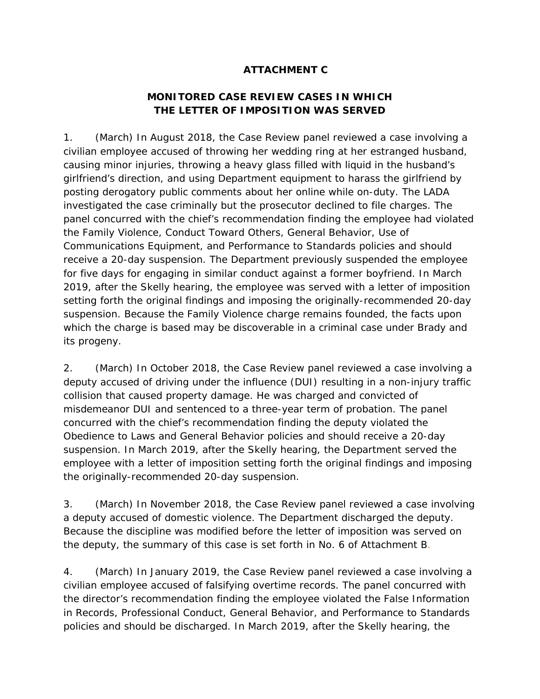# **ATTACHMENT C**

# **MONITORED CASE REVIEW CASES IN WHICH THE LETTER OF IMPOSITION WAS SERVED**

1. (March) In August 2018, the Case Review panel reviewed a case involving a civilian employee accused of throwing her wedding ring at her estranged husband, causing minor injuries, throwing a heavy glass filled with liquid in the husband's girlfriend's direction, and using Department equipment to harass the girlfriend by posting derogatory public comments about her online while on-duty. The LADA investigated the case criminally but the prosecutor declined to file charges. The panel concurred with the chief's recommendation finding the employee had violated the Family Violence, Conduct Toward Others, General Behavior, Use of Communications Equipment, and Performance to Standards policies and should receive a 20-day suspension. The Department previously suspended the employee for five days for engaging in similar conduct against a former boyfriend. In March 2019, after the *Skelly* hearing, the employee was served with a letter of imposition setting forth the original findings and imposing the originally-recommended 20-day suspension. Because the Family Violence charge remains founded, the facts upon which the charge is based may be discoverable in a criminal case under *Brady* and its progeny.

2. (March) In October 2018, the Case Review panel reviewed a case involving a deputy accused of driving under the influence (DUI) resulting in a non-injury traffic collision that caused property damage. He was charged and convicted of misdemeanor DUI and sentenced to a three-year term of probation. The panel concurred with the chief's recommendation finding the deputy violated the Obedience to Laws and General Behavior policies and should receive a 20-day suspension. In March 2019, after the *Skelly* hearing, the Department served the employee with a letter of imposition setting forth the original findings and imposing the originally-recommended 20-day suspension.

3. (March) In November 2018, the Case Review panel reviewed a case involving a deputy accused of domestic violence. The Department discharged the deputy. Because the discipline was modified before the letter of imposition was served on the deputy, the summary of this case is set forth in No. 6 of Attachment B.

4. (March) In January 2019, the Case Review panel reviewed a case involving a civilian employee accused of falsifying overtime records. The panel concurred with the director's recommendation finding the employee violated the False Information in Records, Professional Conduct, General Behavior, and Performance to Standards policies and should be discharged. In March 2019, after the *Skelly* hearing, the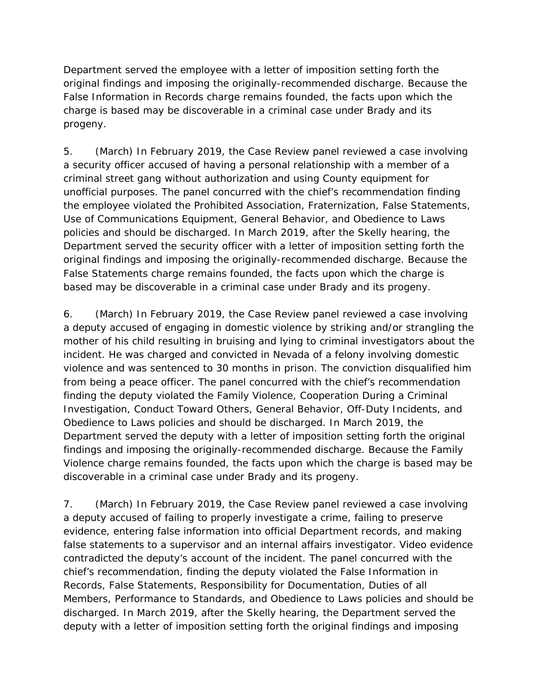Department served the employee with a letter of imposition setting forth the original findings and imposing the originally-recommended discharge. Because the False Information in Records charge remains founded, the facts upon which the charge is based may be discoverable in a criminal case under *Brady* and its progeny.

5. (March) In February 2019, the Case Review panel reviewed a case involving a security officer accused of having a personal relationship with a member of a criminal street gang without authorization and using County equipment for unofficial purposes. The panel concurred with the chief's recommendation finding the employee violated the Prohibited Association, Fraternization, False Statements, Use of Communications Equipment, General Behavior, and Obedience to Laws policies and should be discharged. In March 2019, after the *Skelly* hearing, the Department served the security officer with a letter of imposition setting forth the original findings and imposing the originally-recommended discharge. Because the False Statements charge remains founded, the facts upon which the charge is based may be discoverable in a criminal case under *Brady* and its progeny.

6. (March) In February 2019, the Case Review panel reviewed a case involving a deputy accused of engaging in domestic violence by striking and/or strangling the mother of his child resulting in bruising and lying to criminal investigators about the incident. He was charged and convicted in Nevada of a felony involving domestic violence and was sentenced to 30 months in prison. The conviction disqualified him from being a peace officer. The panel concurred with the chief's recommendation finding the deputy violated the Family Violence, Cooperation During a Criminal Investigation, Conduct Toward Others, General Behavior, Off-Duty Incidents, and Obedience to Laws policies and should be discharged. In March 2019, the Department served the deputy with a letter of imposition setting forth the original findings and imposing the originally-recommended discharge. Because the Family Violence charge remains founded, the facts upon which the charge is based may be discoverable in a criminal case under *Brady* and its progeny.

7. (March) In February 2019, the Case Review panel reviewed a case involving a deputy accused of failing to properly investigate a crime, failing to preserve evidence, entering false information into official Department records, and making false statements to a supervisor and an internal affairs investigator. Video evidence contradicted the deputy's account of the incident. The panel concurred with the chief's recommendation, finding the deputy violated the False Information in Records, False Statements, Responsibility for Documentation, Duties of all Members, Performance to Standards, and Obedience to Laws policies and should be discharged. In March 2019, after the *Skelly* hearing, the Department served the deputy with a letter of imposition setting forth the original findings and imposing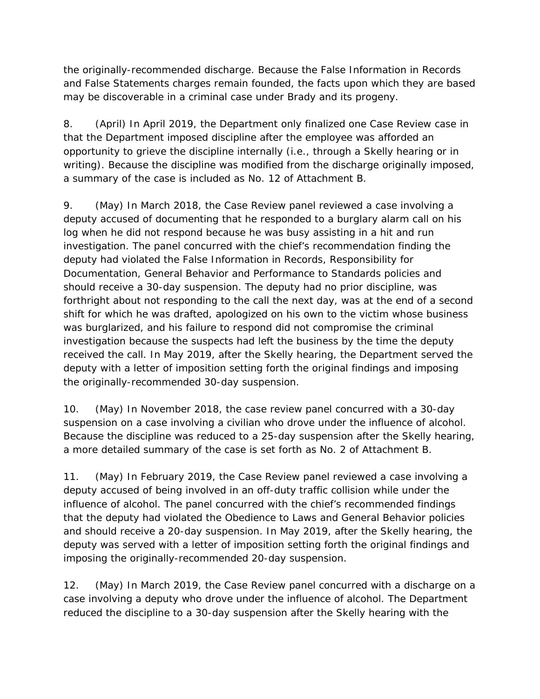the originally-recommended discharge. Because the False Information in Records and False Statements charges remain founded, the facts upon which they are based may be discoverable in a criminal case under *Brady* and its progeny.

8. (April) In April 2019, the Department only finalized one Case Review case in that the Department imposed discipline after the employee was afforded an opportunity to grieve the discipline internally (i.e., through a *Skelly* hearing or in writing). Because the discipline was modified from the discharge originally imposed, a summary of the case is included as No. 12 of Attachment B.

9. (May) In March 2018, the Case Review panel reviewed a case involving a deputy accused of documenting that he responded to a burglary alarm call on his log when he did not respond because he was busy assisting in a hit and run investigation. The panel concurred with the chief's recommendation finding the deputy had violated the False Information in Records, Responsibility for Documentation, General Behavior and Performance to Standards policies and should receive a 30-day suspension. The deputy had no prior discipline, was forthright about not responding to the call the next day, was at the end of a second shift for which he was drafted, apologized on his own to the victim whose business was burglarized, and his failure to respond did not compromise the criminal investigation because the suspects had left the business by the time the deputy received the call. In May 2019, after the *Skelly* hearing, the Department served the deputy with a letter of imposition setting forth the original findings and imposing the originally-recommended 30-day suspension.

10. (May) In November 2018, the case review panel concurred with a 30-day suspension on a case involving a civilian who drove under the influence of alcohol. Because the discipline was reduced to a 25-day suspension after the *Skelly* hearing, a more detailed summary of the case is set forth as No. 2 of Attachment B.

11. (May) In February 2019, the Case Review panel reviewed a case involving a deputy accused of being involved in an off-duty traffic collision while under the influence of alcohol. The panel concurred with the chief's recommended findings that the deputy had violated the Obedience to Laws and General Behavior policies and should receive a 20-day suspension. In May 2019, after the *Skelly* hearing, the deputy was served with a letter of imposition setting forth the original findings and imposing the originally-recommended 20-day suspension.

12. (May) In March 2019, the Case Review panel concurred with a discharge on a case involving a deputy who drove under the influence of alcohol. The Department reduced the discipline to a 30-day suspension after the *Skelly* hearing with the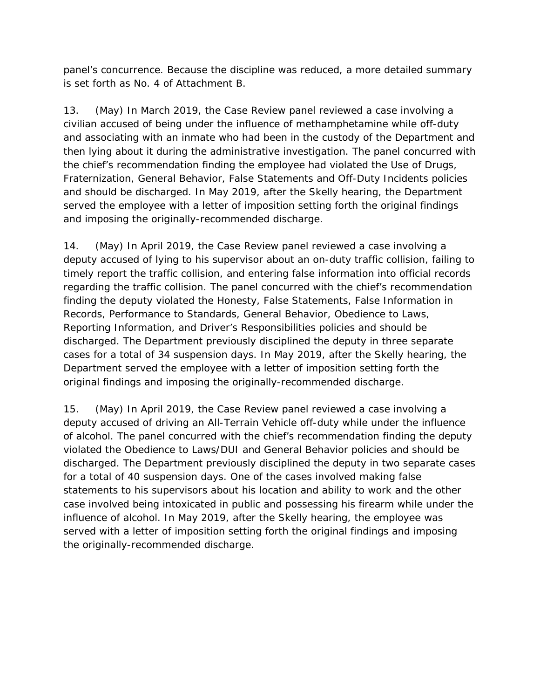panel's concurrence. Because the discipline was reduced, a more detailed summary is set forth as No. 4 of Attachment B.

13. (May) In March 2019, the Case Review panel reviewed a case involving a civilian accused of being under the influence of methamphetamine while off-duty and associating with an inmate who had been in the custody of the Department and then lying about it during the administrative investigation. The panel concurred with the chief's recommendation finding the employee had violated the Use of Drugs, Fraternization, General Behavior, False Statements and Off-Duty Incidents policies and should be discharged. In May 2019, after the *Skelly* hearing, the Department served the employee with a letter of imposition setting forth the original findings and imposing the originally-recommended discharge.

14. (May) In April 2019, the Case Review panel reviewed a case involving a deputy accused of lying to his supervisor about an on-duty traffic collision, failing to timely report the traffic collision, and entering false information into official records regarding the traffic collision. The panel concurred with the chief's recommendation finding the deputy violated the Honesty, False Statements, False Information in Records, Performance to Standards, General Behavior, Obedience to Laws, Reporting Information, and Driver's Responsibilities policies and should be discharged. The Department previously disciplined the deputy in three separate cases for a total of 34 suspension days. In May 2019, after the *Skelly* hearing, the Department served the employee with a letter of imposition setting forth the original findings and imposing the originally-recommended discharge.

15. (May) In April 2019, the Case Review panel reviewed a case involving a deputy accused of driving an All-Terrain Vehicle off-duty while under the influence of alcohol. The panel concurred with the chief's recommendation finding the deputy violated the Obedience to Laws/DUI and General Behavior policies and should be discharged. The Department previously disciplined the deputy in two separate cases for a total of 40 suspension days. One of the cases involved making false statements to his supervisors about his location and ability to work and the other case involved being intoxicated in public and possessing his firearm while under the influence of alcohol. In May 2019, after the *Skelly* hearing, the employee was served with a letter of imposition setting forth the original findings and imposing the originally-recommended discharge.